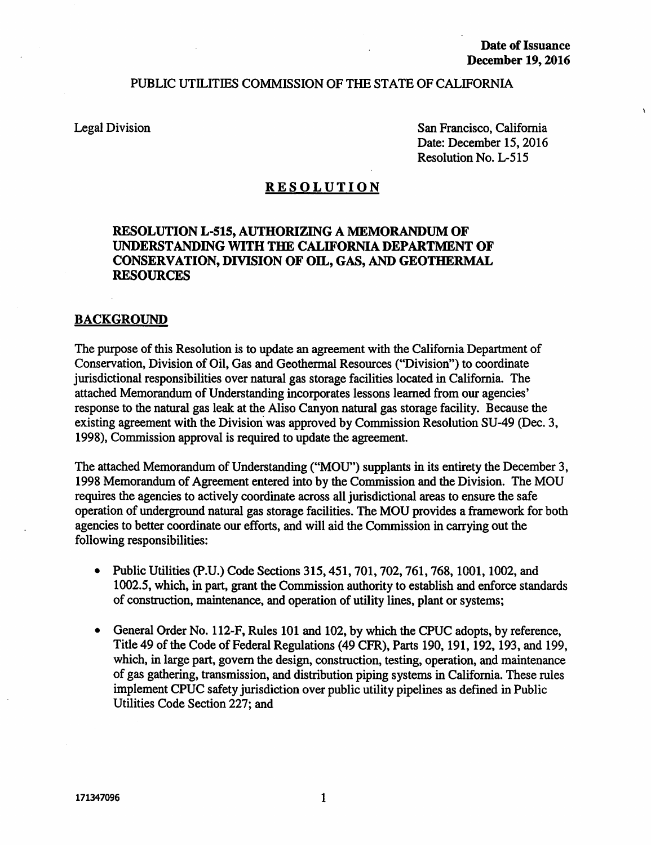### PUBLIC UTILITIES COMMISSION OF THE STATE OF CALIFORNIA

Legal Division

San Francisco, California Date: December 15, 2016 Resolution No. L-515

### RESOLUTION

## RESOLUTION L-515, AUTHORIZING A MEMORANDUM OF UNDERSTANDING WITH THE CALIFORNIA DEPARTMENT OF CONSERVATION, DIVISION OF OIL, GAS, AND GEOTHERMAL RESOURCES

### BACKGROUND

The purpose of this Resolution is to update an agreement with the California Department of Conservation, Division of Oil, Gas and Geothermal Resources ("Division") to coordinate jurisdictional responsibilities over natural gas storage facilities located in California. The attached Memorandum of Understanding incorporates lessons learned from our agencies' response to the natural gas leak at the Aliso Canyon natural gas storage facility. Because the existing agreement with the Division was approved by Commission Resolution SU-49 (Dec. 3, 1998), Commission approval is required to update the agreement.

The attached Memorandum of Understanding ("MOU") supplants in its entirety the December 3, 1998 Memorandum of Agreement entered into by the Commission and the Division. The MOU requires the agencies to actively coordinate across all jurisdictional areas to ensure the safe operation of underground natural gas storage facilities. The MOU provides a framework for both agencies to better coordinate our efforts, and will aid the Commission in carrying out the following responsibilities:

- Public Utilities (p.U.) Code Sections 315,451, 701, 702, 761, 768, 1001, 1002, and 1002.5, which, in part, grant the Commission authority to establish and enforce standards of construction, maintenance, and operation of utility lines, plant or systems;
- General Order No. 112-F, Rules 101 and 102, by which the CPUC adopts, by reference, Title 49 of the Code of Federal Regulations (49 CPR), Parts 190, 191, 192, 193, and 199, which, in large part, govern the design, construction, testing, operation, and maintenance of gas gathering, transmission, and distribution piping systems in California. These rules implement CPUC safety jurisdiction over public utility pipelines as defmed in Public Utilities Code Section 227; and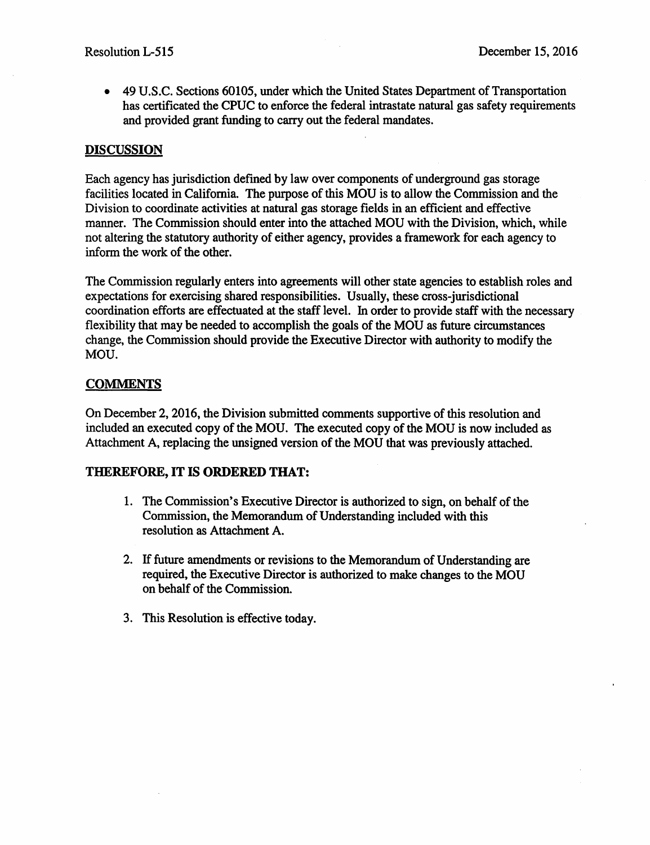• 49 U.S.C. Sections 60105, under which the United States Department of Transportation has certificated the CPUC to enforce the federal intrastate natural gas safety requirements and provided grant funding to carry out the federal mandates.

# DISCUSSION

Each agency has jurisdiction defmed by law over components of underground gas storage facilities located in California. The purpose of this MOU is to allow the Commission and the Division to coordinate activities at natural gas storage fields in an efficient and effective manner. The Commission should enter into the attached MOU with the Division, which, while not altering the statutory authority of either agency, provides a framework for each agency to inform the work of the other.

The Commission regularly enters into agreements will other state agencies to establish roles and expectations for exercising shared responsibilities. Usually, these cross-jurisdictional coordination efforts are effectuated at the staff level. In order to provide staff with the necessary flexibility that may be needed to accomplish the goals of the MOU as future circumstances change, the Commission should provide the Executive Director with authority to modify the MOU.

# **COMMENTS**

On December 2, 2016, the Division submitted comments supportive of this resolution and included an executed copy of the MOU. The executed copy of the MOU is now included as Attachment A, replacing the unsigned version of the MOU that was previously attached.

# THEREFORE, IT IS ORDERED THAT:

- 1. The Commission's Executive Director is authorized to sign, on behalf of the Commission, the Memorandum of Understanding included with this resolution as Attachment A.
- 2. If future amendments or revisions to the Memorandum of Understanding are required, the Executive Director is authorized to make changes to the MOU on behalf of the Commission.
- 3. This Resolution is effective today.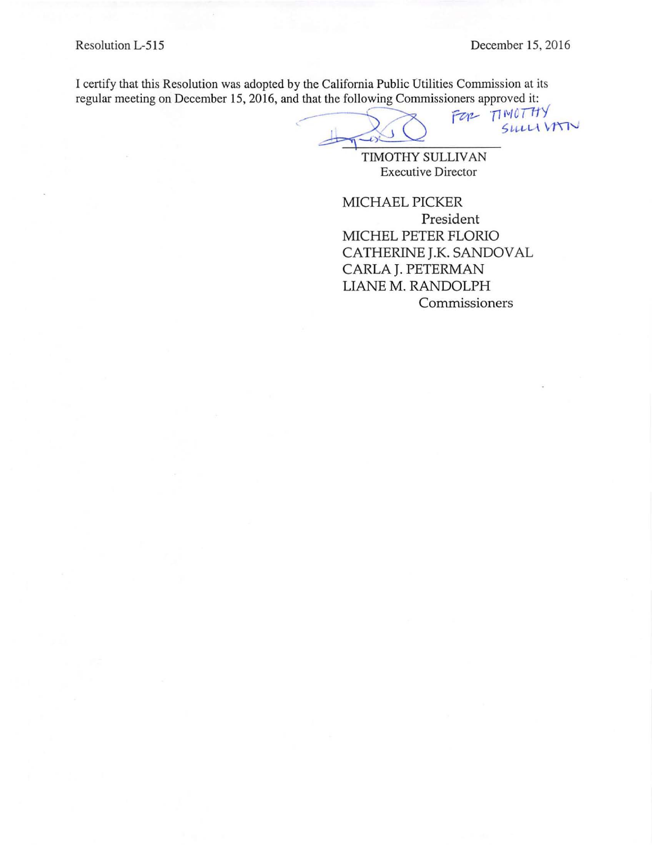I certify that this Resolution was adopted by the California Public Utilities Commission at its regular meeting on December 15, 2016, and that the following Commissioners approved it:<br> $FZN - T1 M0 T T TY$ December 15, 2016<br>y the California Public Utilities Commission at its<br>d that the following Commissioners approved it:<br> $T^2 \sim T^1 \frac{11}{11} T^1 \frac{11}{11} T^1 \frac{11}{11} T^1 \frac{11}{11} T^1 \frac{11}{11} T^1 \frac{11}{11} T^1 \frac{11}{11} T^1 \frac{11}{11} T^$ 

 $\frac{1}{\sqrt{2}}$ 

TIMOTHY SULLIVAN Executive Director

MICHAEL PICKER President MICHEL PETER FLORIO CATHERINE J.K. SANDOVAL CARLA J. PETERMAN LIANE M. RANDOLPH Commissioners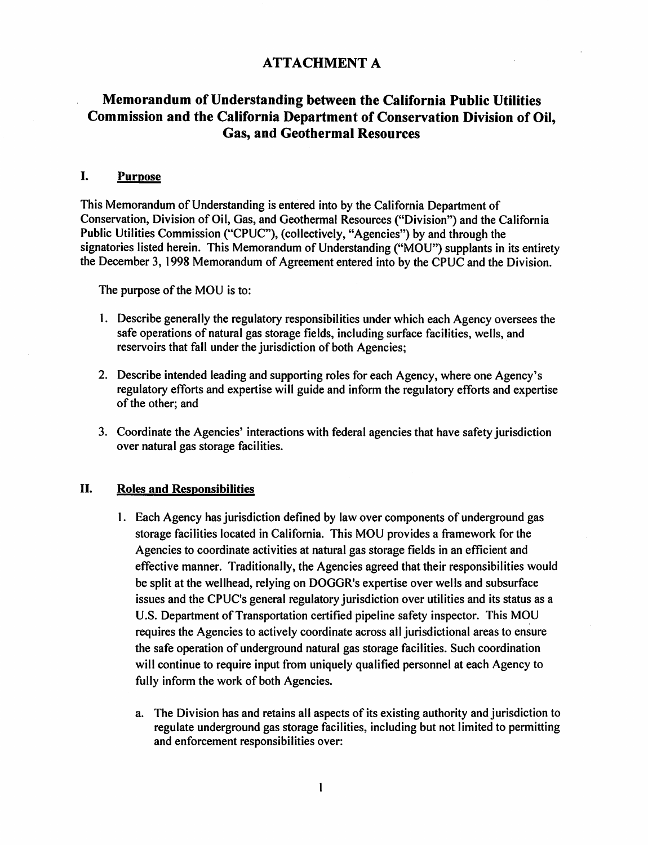# ATTACHMENT A

# Memorandum of Understanding between the California Public Utilities Commission and the California Department of Conservation Division of Oil, Gas, and Geothermal Resources

### I. Purpose

This Memorandum of Understanding is entered into by the California Department of Conservation, Division of Oil, Gas, and Geothermal Resources ("Division") and the California Public Utilities Commission ("CPUC"), (collectively, "Agencies") by and through the signatories listed herein. This Memorandum of Understanding ("MOU") supplants in its entirety the December 3, 1998 Memorandum of Agreement entered into by the CPUC and the Division.

The purpose of the MOU is to:

- 1. Describe generally the regulatory responsibilities under which each Agency oversees the safe operations of natural gas storage fields, including surface facilities, wells, and reservoirs that fall under the jurisdiction of both Agencies;
- 2. Describe intended leading and supporting roles for each Agency, where one Agency's regulatory efforts and expertise will guide and inform the regulatory efforts and expertise of the other; and
- 3. Coordinate the Agencies' interactions with federal agencies that have safety jurisdiction over natural gas storage facilities.

#### II. Roles and Responsibilities

- 1. Each Agency has jurisdiction defined by law over components of underground gas storage facilities located in California. This MOU provides a framework for the Agencies to coordinate activities at natural gas storage fields in an efficient and effective manner. Traditionally, the Agencies agreed that their responsibilities would be split at the wellhead, relying on DOGGR's expertise over wells and subsurface issues and the CPUC's general regulatory jurisdiction over utilities and its status as a U.S. Department of Transportation certified pipeline safety inspector. This MOU requires the Agencies to actively coordinate across all jurisdictional areas to ensure the safe operation of underground natural gas storage facilities. Such coordination will continue to require input from uniquely qualified personnel at each Agency to fully inform the work of both Agencies.
	- a. The Division has and retains all aspects of its existing authority and jurisdiction to regulate underground gas storage facilities, including but not limited to permitting and enforcement responsibilities over: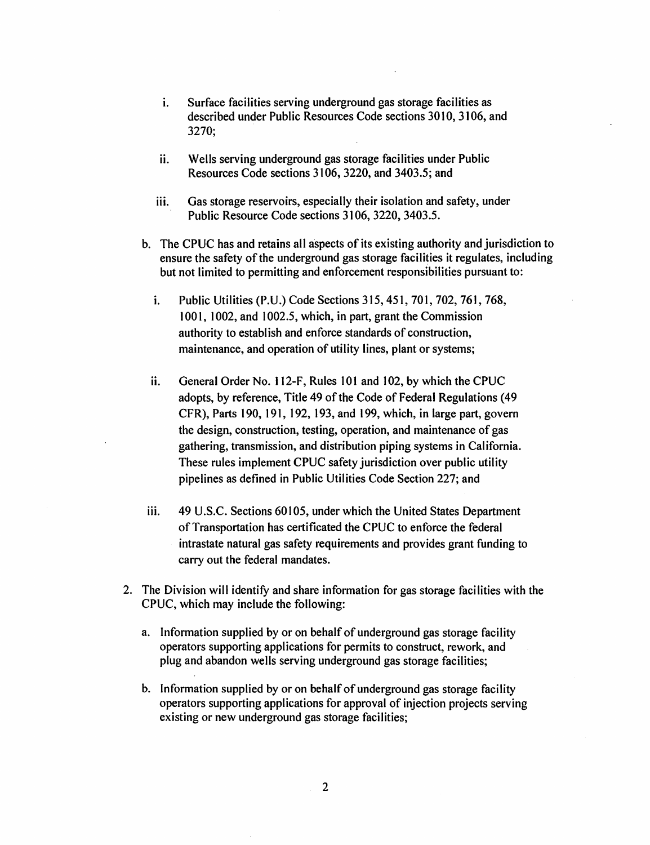- i. Surface facilities serving underground gas storage facilities as described under Public Resources Code sections 3010, 3106, and 3270;
- ii. Wells serving underground gas storage facilities under Public Resources Code sections 3106,3220, and 3403.5; and
- iii. Gas storage reservoirs, especially their isolation and safety, under Public Resource Code sections 3106, 3220, 3403.5.
- b. The CPUC has and retains all aspects of its existing authority and jurisdiction to ensure the safety of the underground gas storage facilities it regulates, including but not limited to permitting and enforcement responsibilities pursuant to:
	- i. Public Utilities (P.U.) Code Sections 315, 451, 701, 702, 761, 768, 1001, 1002, and 1002.5, which, in part, grant the Commission authority to establish and enforce standards of construction, maintenance, and operation of utility lines, plant or systems;
	- ii. General Order No. 112-F, Rules 101 and 102, by which the CPUC adopts, by reference, Title 49 of the Code of Federal Regulations (49 CFR), Parts 190, 191, 192, 193, and 199, which, in large part, govern the design, construction, testing, operation, and maintenance of gas gathering, transmission, and distribution piping systems in California. These rules implement CPUC safety jurisdiction over public utility pipelines as defined in Public Utilities Code Section 227; and
- iii. 49 U.S.C. Sections 60105, under which the United States Department of Transportation has certificated the CPUC to enforce the federal intrastate natural gas safety requirements and provides grant funding to carry out the federal mandates.
- 2. The Division will identify and share information for gas storage facilities with the CPUC, which may include the following:
	- a. Information supplied by or on behalf of underground gas storage facility operators supporting applications for permits to construct, rework, and plug and abandon wells serving underground gas storage facilities;
	- b. Information supplied by or on behalf of underground gas storage facility operators supporting applications for approval of injection projects serving existing or new underground gas storage facilities;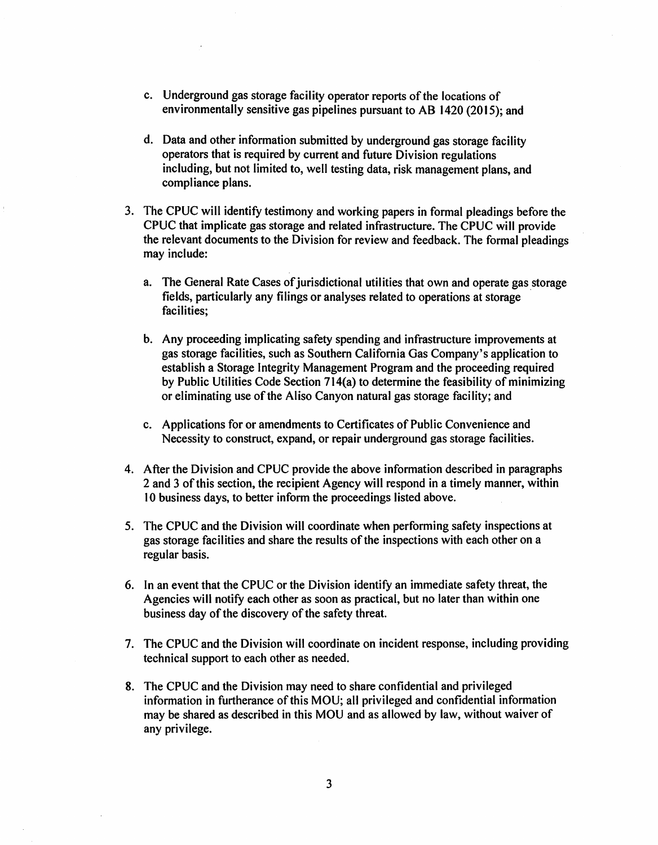- c. Underground gas storage facility operator reports of the locations of environmentally sensitive gas pipelines pursuant to AB 1420 (2015); and
- d. Data and other information submitted by underground gas storage facility operators that is required by current and future Division regulations including, but not limited to, well testing data, risk management plans, and compliance plans.
- 3. The CPUC will identify testimony and working papers in formal pleadings before the CPUC that implicate gas storage and related infrastructure. The CPUC will provide the relevant documents to the Division for review and feedback. The formal pleadings may include:
	- a. The General Rate Cases of jurisdictional utilities that own and operate gas storage fields, particularly any filings or analyses related to operations at storage . facilities;
	- b. Any proceeding implicating safety spending and infrastructure improvements at gas storage facilities, such as Southern California Gas Company's application to establish a Storage Integrity Management Program and the proceeding required by Public Utilities Code Section 714(a) to determine the feasibility of minimizing or eliminating use of the Aliso Canyon natural gas storage faci Iity; and
	- c. Applications for or amendments to Certificates of Public Convenience and Necessity to construct, expand, or repair underground gas storage facilities.
- 4. After the Division and CPUC provide the above information described in paragraphs 2 and 3 of this section, the recipient Agency will respond in a timely manner, within 10 business days, to better inform the proceedings listed above.
- 5. The CPUC and the Division will coordinate when performing safety inspections at gas storage facilities and share the results of the inspections with each other on a regular basis.
- 6. In an event that the CPUC or the Division identify an immediate safety threat, the Agencies will notify each other as soon as practical, but no later than within one business day of the discovery of the safety threat.
- 7. The CPUC and the Division will coordinate on incident response, including providing technical support to each other as needed.
- 8. The CPUC and the Division may need to share confidential and privileged information in furtherance of this MOU; all privileged and confidential information may be shared as described in this MOU and as allowed by law, without waiver of any privilege.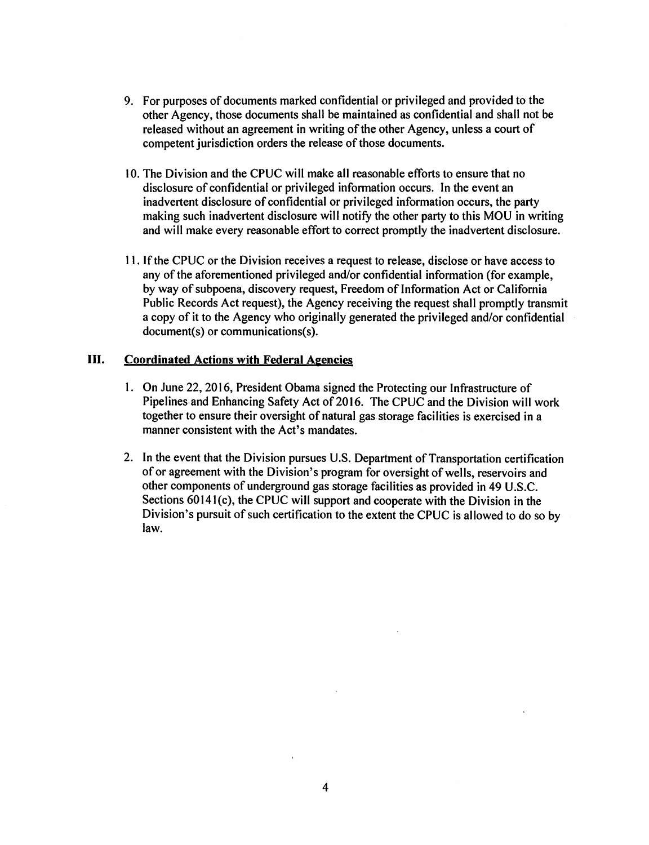- 9. For purposes of documents marked confidential or privileged and provided to the other Agency, those documents shall be maintained as confidential and shall not be released without an agreement in writing of the other Agency, unless a court of competent jurisdiction orders the release of those documents.
- 10. The Division and the CPUC will make all reasonable efforts to ensure that no disclosure of confidential or privileged information occurs. In the event an inadvertent disclosure of confidential or privileged information occurs, the party making such inadvertent disclosure will notify the other party to this MOU in writing and will make every reasonable effort to correct promptly the inadvertent disclosure.
- 11. If the CPUC or the Division receives a request to release, disclose or have access to any of the aforementioned privileged and/or confidential information (for example, by way of subpoena, discovery request, Freedom of Information Act or California Public Records Act request), the Agency receiving the request shall promptly transmit a copy of it to the Agency who originally generated the privileged and/or confidential  $document(s)$  or communications( $s$ ).

### III. Coordinated Actions with Federal Agencies

- 1. On June 22, 2016, President Obama signed the Protecting our Infrastructure of Pipelines and Enhancing Safety Act of 2016. The CPUC and the Division will work together to ensure their oversight of natural gas storage facilities is exercised in a manner consistent with the Act's mandates.
- 2. In the event that the Division pursues U.S. Department of Transportation certification of or agreement with the Division's program for oversight of wells, reservoirs and other components of underground gas storage facilities as provided in 49 U.S.C. Sections 60141(c), the CPUC will support and cooperate with the Division in the Division's pursuit of such certification to the extent the CPUC is allowed to do so by law.